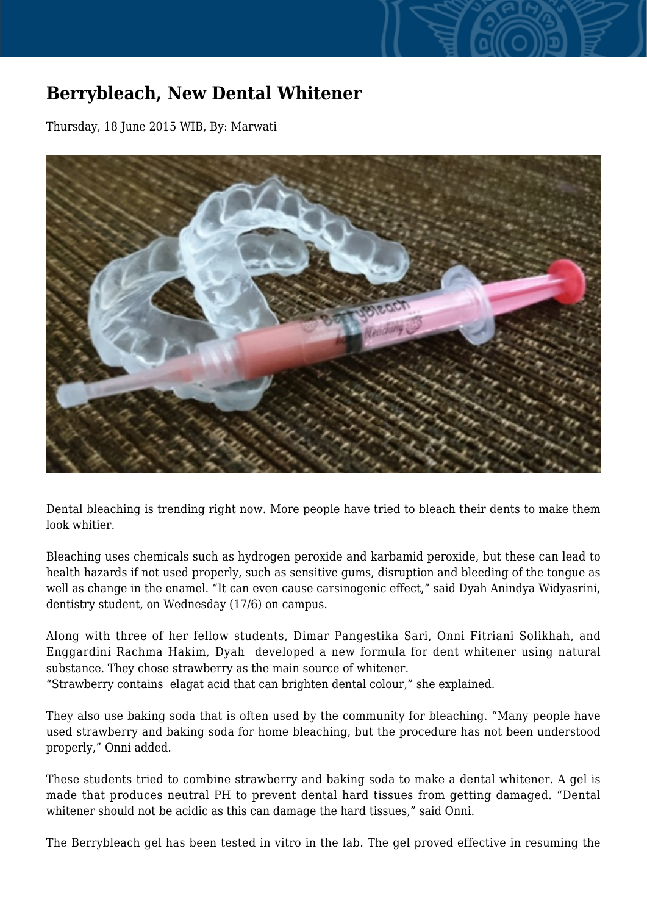## **Berrybleach, New Dental Whitener**

Thursday, 18 June 2015 WIB, By: Marwati



Dental bleaching is trending right now. More people have tried to bleach their dents to make them look whitier.

Bleaching uses chemicals such as hydrogen peroxide and karbamid peroxide, but these can lead to health hazards if not used properly, such as sensitive gums, disruption and bleeding of the tongue as well as change in the enamel. "It can even cause carsinogenic effect," said Dyah Anindya Widyasrini, dentistry student, on Wednesday (17/6) on campus.

Along with three of her fellow students, Dimar Pangestika Sari, Onni Fitriani Solikhah, and Enggardini Rachma Hakim, Dyah developed a new formula for dent whitener using natural substance. They chose strawberry as the main source of whitener.

"Strawberry contains elagat acid that can brighten dental colour," she explained.

They also use baking soda that is often used by the community for bleaching. "Many people have used strawberry and baking soda for home bleaching, but the procedure has not been understood properly," Onni added.

These students tried to combine strawberry and baking soda to make a dental whitener. A gel is made that produces neutral PH to prevent dental hard tissues from getting damaged. "Dental whitener should not be acidic as this can damage the hard tissues," said Onni.

The Berrybleach gel has been tested in vitro in the lab. The gel proved effective in resuming the